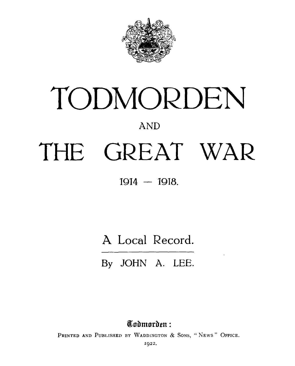

# TODMORDEN **AND** THE GREAT WAR

**1914 — 1918.**

A Local Record.

**By JOHN** A. **LEE.**

**Tadmarden:** 

PRINTED AND PUBLISHED BY WADDINGTON & SONS, "NEWS" OFFICE.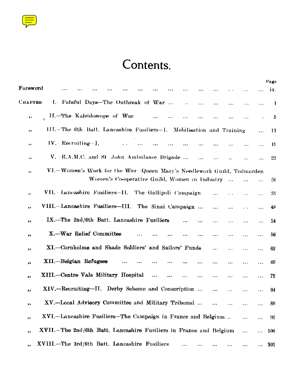

## Contents.

|                                                                             |           |           |           |            | Page |
|-----------------------------------------------------------------------------|-----------|-----------|-----------|------------|------|
| Foreword                                                                    |           |           |           |            | ix.  |
| I. Fateful Days-The Outbreak of War<br>Снартее<br>$\ddot{\phantom{a}}$<br>  |           |           | $\cdots$  | $\ddotsc$  | 1    |
| II.-The Kaleidoscope of Waa-<br>$\ddotsc$<br>,,<br>.<br>.                   |           |           |           | $\epsilon$ | 5    |
| III.-The 6th Batt. Lancashire Fusiliers-1. Mobilisation and Training<br>,,  |           |           |           | $\ldots$   | 11   |
| $IV.$ Recruiting-I.<br>,,                                                   |           |           |           |            | 19   |
| V. -R.A.M.C. and St. John Ambulance Brigade<br>٠,                           |           |           |           |            | 23   |
| VI.-Women's Work for the War-Queen Mary's Needlework Guild, Todmorden<br>,, |           |           |           |            |      |
| Women's Co-operative Guild, Women in Industry                               |           |           |           |            | 26   |
|                                                                             |           | $\ddotsc$ |           | $\cdots$   |      |
| VII. - Lancashire Fusiliers-II. The Gallipoli Campaign<br>$\pmb{\cdot}$     |           |           |           | $\ddotsc$  | 35   |
| VIII.-Lancashire Fusiliers-III.<br>The Sinai Campaign<br>,,                 |           |           | . .       |            | 48   |
| IX.-The 2nd/6th Batt. Lancashire Fusiliers<br>,,<br>$\ddotsc$               | .         | .         | .         |            | 54   |
| X.-War Relief Committee<br><br>,,                                           |           | $\ddotsc$ | .         |            | 56   |
| XI.-Cornholme and Shade Soldiers' and Sailors' Funds<br>,,                  |           | .         | .         | $\cdots$   | 63   |
| XII.-Belgian Refugees<br>,,                                                 | $\cdots$  |           | $\cdots$  | $\cdots$   | 69   |
| XIII.--Centre Vale Military Hospital<br>$\ddotsc$<br><br><br>$\cdots$<br>,, | $\ddotsc$ |           |           | $\ddotsc$  | 75   |
| XIV.—Recruiting—II. Derby Scheme and Conscription<br>,,                     |           | $\cdots$  | $\ddotsc$ | $\ddotsc$  | 84   |
| XV.-I ocal Advisory Committee and Military Tribunal<br>,,                   | $\ddotsc$ |           |           |            | 89   |
| XVI.-Lancashire Fusiliers-The Campaign in France and Belgium<br>,,          |           |           |           | $\ddotsc$  | 95   |
| XVII.-The 2nd/6th Batt. Lancashire Fusiliers in France and Belgium<br>,,    |           |           | $\cdots$  |            | 100  |
| XVIII.-The 3rd/6th Batt. Lancashire Fusiliers<br>,,                         |           |           |           |            | 105  |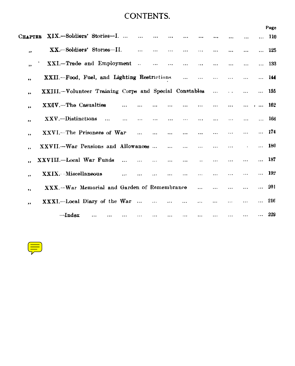### CONTENTS.

|                      |                                                        |           |          |           |           |           |           |           |           |           |              | Page         |
|----------------------|--------------------------------------------------------|-----------|----------|-----------|-----------|-----------|-----------|-----------|-----------|-----------|--------------|--------------|
| Chapter              | XIX.-Soldiers' Stories-I.                              |           |          |           |           |           |           |           |           |           |              | 110          |
| ,,                   | $XX -$ Soldiers' Stories-II.                           |           | $\cdots$ | $\ddotsc$ | $\cdots$  | $\cdots$  | $\cdots$  |           |           | $\cdots$  | $\cdots$     | 125          |
| $\ddot{\phantom{1}}$ | XXI.-Trade and Employment                              |           | $\sim$   | $\ddotsc$ | $\cdots$  | $\ddotsc$ | $\ddotsc$ | $\ddotsc$ | $\ddotsc$ | $\cdots$  | $\cdots$     | 133          |
| $^{\bullet}$         | XXII.-Food, Fuel, and Lighting Restrictions            |           |          |           |           | $\ddotsc$ | $\cdots$  |           |           |           |              | 144          |
| $\bullet$            | XXIII.-Volunteer Training Corps and Special Constables |           |          |           |           |           |           |           |           | $\cdots$  | $\cdots$     | 155          |
| $^{\bullet}$         | XXIV.-The Casualties                                   |           |          |           |           |           |           |           | $\cdots$  | $\cdots$  | $\cdots$ 162 |              |
| ,,                   | $XXV$ .-Distinctions<br>$\ddotsc$                      | $\cdots$  | $\cdots$ | $\cdots$  | $\cdots$  | $\cdots$  | $\cdots$  |           | $\cdots$  |           |              | 166          |
| $\bullet\bullet$     | XXVI.-The Prisonens of War                             |           |          |           | $\ddotsc$ | $\ddotsc$ |           |           |           |           | $\cdots$     | 174          |
| $\ddot{\phantom{a}}$ | XXVII.-War Pensions and Allowances                     |           |          |           | $\ddotsc$ |           |           |           | $\cdots$  |           | $\cdots$     | 180          |
|                      | XXVIII.-Local War Funds                                | $\ddotsc$ | $\cdots$ | $\cdots$  | $\cdots$  | $\cdots$  |           | $\cdots$  | $\ddotsc$ |           |              | 187          |
| $^{\circ}$           | XXIX.- - Miscellaneous                                 |           |          |           |           | $\cdots$  |           |           | $\ddotsc$ | $\ddotsc$ |              | $\ldots$ 192 |
| ,,                   | XXX.-War Memorial and Garden of Remembrance            |           |          |           |           |           | $\ddotsc$ |           |           |           |              | $\ldots$ 201 |
| ,,                   | XXXI.—Local Diary of the War                           |           |          | $\cdots$  | $\ddotsc$ | $\cdots$  | .         |           | $\cdots$  | $\cdots$  |              | $\ldots$ 216 |
|                      | $\rightarrow$ Index                                    |           |          |           |           |           |           | $\cdots$  |           |           | $\cdots$     | 229          |

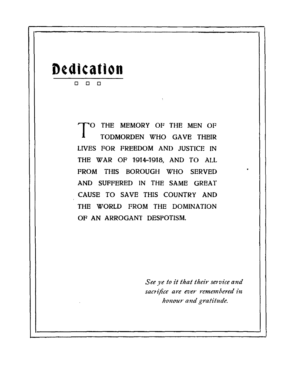## **Dedication**  D O D

T O THE MEMORY OF THE MEN OF TODMORDEN WHO GAVE THEIR LIVES FOR FREEDOM AND JUSTICE IN THE WAR OF 1914-1918, AND TO ALL FROM THIS BOROUGH WHO SERVED AND SUFFERED IN THE SAME GREAT CAUSE TO SAVE THIS COUNTRY AND THE WORLD FROM THE DOMINATION OF AN ARROGANT DESPOTISM.

> *See ye to it that their service and sacrifice are ever remembered in honour and gratitude.*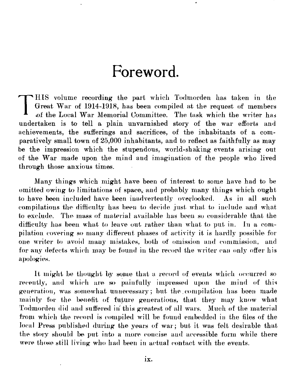# Foreword.

<span id="page-4-0"></span> $\prod_{i=1}^{n}$ HIS volume recording the part which Todmorden has taken in the Great War of 1914-1918, has been compiled. at the request of members of the Local War Memorial Committee. The task which the writer has undertaken is to tell a plain unvarnished story of the war efforts and achievements, the sufferings and sacrifices, of the inhabitants of a comparatively small town of 25,000 inhabitants, and to reflect as faithfully as may be the impression which the stupendous, world-shaking events arising out of the War made upon the mind and imagination of the people who lived through those anxious times.

Many things which might have been of interest to some have had to be omitted owing to limitations of space,; and probably many things which ought to have. been included have been inadvertently overlooked. As in all such compilations the difficulty has been to decide just what to include and what to exclude. The, mass of material available has been so considerable that the difficulty has been what to leave out rather than what to put in. In a compilation covering so many different phases of activity it is hardly possible for one writer to avoid many mistakes, both of omission and commission, and for any defects which may be found in the record the writer can only offer his apologies.

It might be thought by some that a record of events which occurred so recently, and which are so painfully impressed upon the mind of this generation, was somewhat unnecessary ; but the .compilation has been made mainly for the benefit of future generations, that they may know what Todmorden did and suffered iii this greatest of all wars. Much of the material from which the record is compiled will be found embedded in the files of the local Press published during the years of war; but it was felt desirable that the story should be put into a more concise and accessible form while there were those still living who had been in actual contact with the events.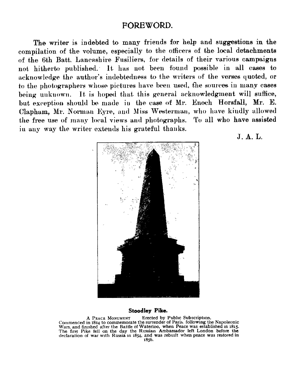#### FOREWORD.

The writer is indebted to many friends for help and suggestions in the compilation of the volume, especially to the officers of the local detachments of the 6th Batt. Lancashire Fusiliers, for details of their various campaigns not hitherto published. It has not been found possible in all cases to acknowledge the author's indebtedness to the writers of the verses quoted, or to the photographers whose pictures have been used, the sources in many cases being unknown. It is hoped that this general acknowledgment will suffice, but exception should be made in the case of Mr. Enoch Horsfall, Mr. E. Clapham, Mr. Norman Eyre, and Miss Westerman, who have kindly allowed the free use of many local views and photographs. I'o all who have assisted in any way the writer extends his grateful thanks.



J. A. L.

#### **Stoodley Pike.**

A PEACE MONUMENT Erected by Public Subscription. Commenced in 1514 to commemorate the surrender of Paris. following the Napoleonic Wars, and finished after the Battle of Waterloo, when Peace was established in 1815. The first Pike fell on the day the Russian Ambassador left London before the declaration of war with Russia in i854, and was rebuilt when peace was restored in 1856.